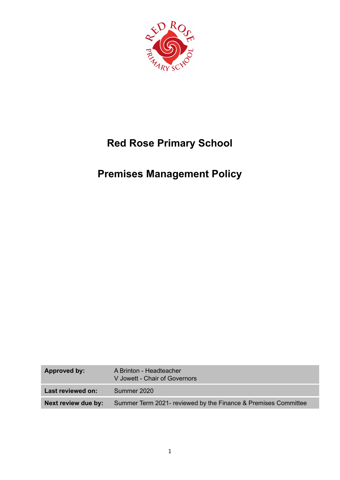

# **Red Rose Primary School**

# **Premises Management Policy**

| <b>Approved by:</b> | A Brinton - Headteacher<br>V Jowett - Chair of Governors       |
|---------------------|----------------------------------------------------------------|
| Last reviewed on:   | Summer 2020                                                    |
| Next review due by: | Summer Term 2021- reviewed by the Finance & Premises Committee |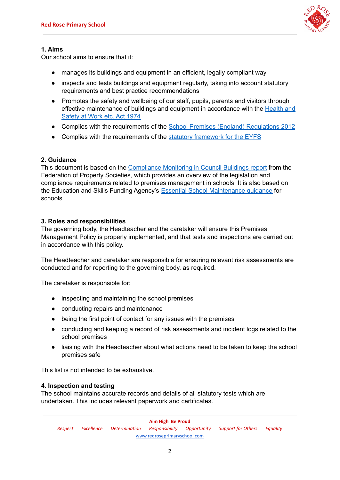

# **1. Aims**

Our school aims to ensure that it:

- manages its buildings and equipment in an efficient, legally compliant way
- inspects and tests buildings and equipment regularly, taking into account statutory requirements and best practice recommendations
- Promotes the safety and wellbeing of our staff, pupils, parents and visitors through effective maintenance of buildings and equipment in accordance with the **[Health](https://www.legislation.gov.uk/ukpga/1974/37/contents) and** [Safety](https://www.legislation.gov.uk/ukpga/1974/37/contents) at Work etc. Act 1974
- Complies with the requirements of the School Premises (England) [Regulations](http://www.legislation.gov.uk/uksi/2012/1943/contents/made) 2012
- Complies with the requirements of the statutory [framework](https://www.gov.uk/government/publications/early-years-foundation-stage-framework--2) for the EYFS

# **2. Guidance**

This document is based on the [Compliance](http://www.cipfa.org/~/media/files/services/property/document%20library/compliance%20monitoring%20england%20december%202014.pdf) Monitoring in Council Buildings report from the Federation of Property Societies, which provides an overview of the legislation and compliance requirements related to premises management in schools. It is also based on the Education and Skills Funding Agency's Essential School [Maintenance](https://www.gov.uk/guidance/essential-school-maintenance-a-guide-for-schools) guidance for schools.

# **3. Roles and responsibilities**

The governing body, the Headteacher and the caretaker will ensure this Premises Management Policy is properly implemented, and that tests and inspections are carried out in accordance with this policy.

The Headteacher and caretaker are responsible for ensuring relevant risk assessments are conducted and for reporting to the governing body, as required.

The caretaker is responsible for:

- inspecting and maintaining the school premises
- conducting repairs and maintenance
- being the first point of contact for any issues with the premises
- conducting and keeping a record of risk assessments and incident logs related to the school premises
- liaising with the Headteacher about what actions need to be taken to keep the school premises safe

This list is not intended to be exhaustive.

### **4. Inspection and testing**

The school maintains accurate records and details of all statutory tests which are undertaken. This includes relevant paperwork and certificates.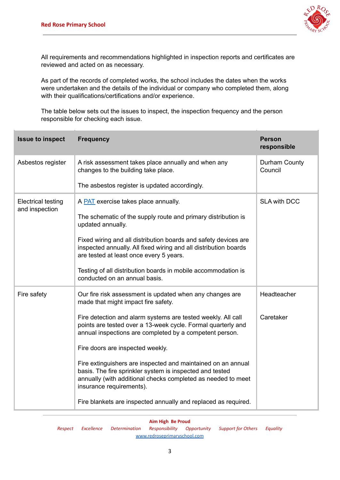

All requirements and recommendations highlighted in inspection reports and certificates are reviewed and acted on as necessary.

As part of the records of completed works, the school includes the dates when the works were undertaken and the details of the individual or company who completed them, along with their qualifications/certifications and/or experience.

The table below sets out the issues to inspect, the inspection frequency and the person responsible for checking each issue.

| <b>Issue to inspect</b>                     | <b>Frequency</b>                                                                                                                                                                                                     | <b>Person</b><br>responsible |
|---------------------------------------------|----------------------------------------------------------------------------------------------------------------------------------------------------------------------------------------------------------------------|------------------------------|
| Asbestos register                           | A risk assessment takes place annually and when any<br>changes to the building take place.                                                                                                                           | Durham County<br>Council     |
|                                             | The asbestos register is updated accordingly.                                                                                                                                                                        |                              |
| <b>Electrical testing</b><br>and inspection | A <b>PAT</b> exercise takes place annually.                                                                                                                                                                          | <b>SLA with DCC</b>          |
|                                             | The schematic of the supply route and primary distribution is<br>updated annually.                                                                                                                                   |                              |
|                                             | Fixed wiring and all distribution boards and safety devices are<br>inspected annually. All fixed wiring and all distribution boards<br>are tested at least once every 5 years.                                       |                              |
|                                             | Testing of all distribution boards in mobile accommodation is<br>conducted on an annual basis.                                                                                                                       |                              |
| Fire safety                                 | Our fire risk assessment is updated when any changes are<br>made that might impact fire safety.                                                                                                                      | Headteacher                  |
|                                             | Fire detection and alarm systems are tested weekly. All call<br>points are tested over a 13-week cycle. Formal quarterly and<br>annual inspections are completed by a competent person.                              | Caretaker                    |
|                                             | Fire doors are inspected weekly.                                                                                                                                                                                     |                              |
|                                             | Fire extinguishers are inspected and maintained on an annual<br>basis. The fire sprinkler system is inspected and tested<br>annually (with additional checks completed as needed to meet<br>insurance requirements). |                              |
|                                             | Fire blankets are inspected annually and replaced as required.                                                                                                                                                       |                              |

#### **Aim High Be Proud**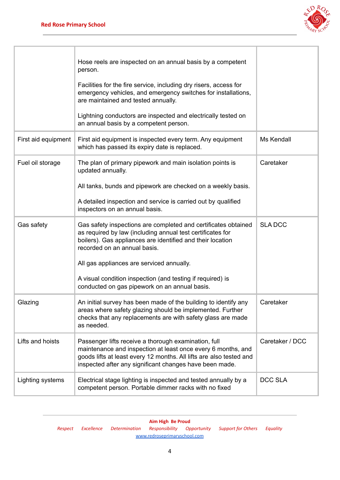

|                     | Hose reels are inspected on an annual basis by a competent<br>person.<br>Facilities for the fire service, including dry risers, access for<br>emergency vehicles, and emergency switches for installations,<br>are maintained and tested annually.<br>Lightning conductors are inspected and electrically tested on<br>an annual basis by a competent person.                          |                 |
|---------------------|----------------------------------------------------------------------------------------------------------------------------------------------------------------------------------------------------------------------------------------------------------------------------------------------------------------------------------------------------------------------------------------|-----------------|
| First aid equipment | First aid equipment is inspected every term. Any equipment<br>which has passed its expiry date is replaced.                                                                                                                                                                                                                                                                            | Ms Kendall      |
| Fuel oil storage    | The plan of primary pipework and main isolation points is<br>updated annually.<br>All tanks, bunds and pipework are checked on a weekly basis.<br>A detailed inspection and service is carried out by qualified<br>inspectors on an annual basis.                                                                                                                                      | Caretaker       |
| Gas safety          | Gas safety inspections are completed and certificates obtained<br>as required by law (including annual test certificates for<br>boilers). Gas appliances are identified and their location<br>recorded on an annual basis.<br>All gas appliances are serviced annually.<br>A visual condition inspection (and testing if required) is<br>conducted on gas pipework on an annual basis. | <b>SLADCC</b>   |
| Glazing             | An initial survey has been made of the building to identify any<br>areas where safety glazing should be implemented. Further<br>checks that any replacements are with safety glass are made<br>as needed.                                                                                                                                                                              | Caretaker       |
| Lifts and hoists    | Passenger lifts receive a thorough examination, full<br>maintenance and inspection at least once every 6 months, and<br>goods lifts at least every 12 months. All lifts are also tested and<br>inspected after any significant changes have been made.                                                                                                                                 | Caretaker / DCC |
| Lighting systems    | Electrical stage lighting is inspected and tested annually by a<br>competent person. Portable dimmer racks with no fixed                                                                                                                                                                                                                                                               | <b>DCC SLA</b>  |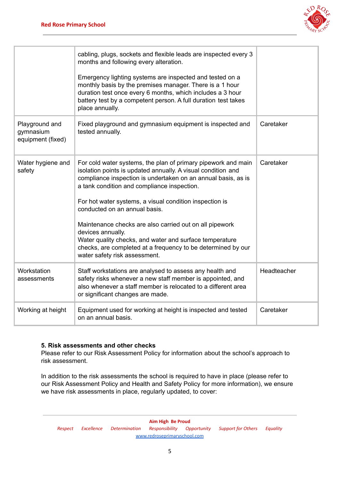

|                                                  | cabling, plugs, sockets and flexible leads are inspected every 3<br>months and following every alteration.<br>Emergency lighting systems are inspected and tested on a<br>monthly basis by the premises manager. There is a 1 hour<br>duration test once every 6 months, which includes a 3 hour<br>battery test by a competent person. A full duration test takes<br>place annually.                                                                                                                                                                                                 |             |
|--------------------------------------------------|---------------------------------------------------------------------------------------------------------------------------------------------------------------------------------------------------------------------------------------------------------------------------------------------------------------------------------------------------------------------------------------------------------------------------------------------------------------------------------------------------------------------------------------------------------------------------------------|-------------|
| Playground and<br>gymnasium<br>equipment (fixed) | Fixed playground and gymnasium equipment is inspected and<br>tested annually.                                                                                                                                                                                                                                                                                                                                                                                                                                                                                                         | Caretaker   |
| Water hygiene and<br>safety                      | For cold water systems, the plan of primary pipework and main<br>isolation points is updated annually. A visual condition and<br>compliance inspection is undertaken on an annual basis, as is<br>a tank condition and compliance inspection.<br>For hot water systems, a visual condition inspection is<br>conducted on an annual basis.<br>Maintenance checks are also carried out on all pipework<br>devices annually.<br>Water quality checks, and water and surface temperature<br>checks, are completed at a frequency to be determined by our<br>water safety risk assessment. | Caretaker   |
| Workstation<br>assessments                       | Staff workstations are analysed to assess any health and<br>safety risks whenever a new staff member is appointed, and<br>also whenever a staff member is relocated to a different area<br>or significant changes are made.                                                                                                                                                                                                                                                                                                                                                           | Headteacher |
| Working at height                                | Equipment used for working at height is inspected and tested<br>on an annual basis.                                                                                                                                                                                                                                                                                                                                                                                                                                                                                                   | Caretaker   |

### **5. Risk assessments and other checks**

Please refer to our Risk Assessment Policy for information about the school's approach to risk assessment.

In addition to the risk assessments the school is required to have in place (please refer to our Risk Assessment Policy and Health and Safety Policy for more information), we ensure we have risk assessments in place, regularly updated, to cover: